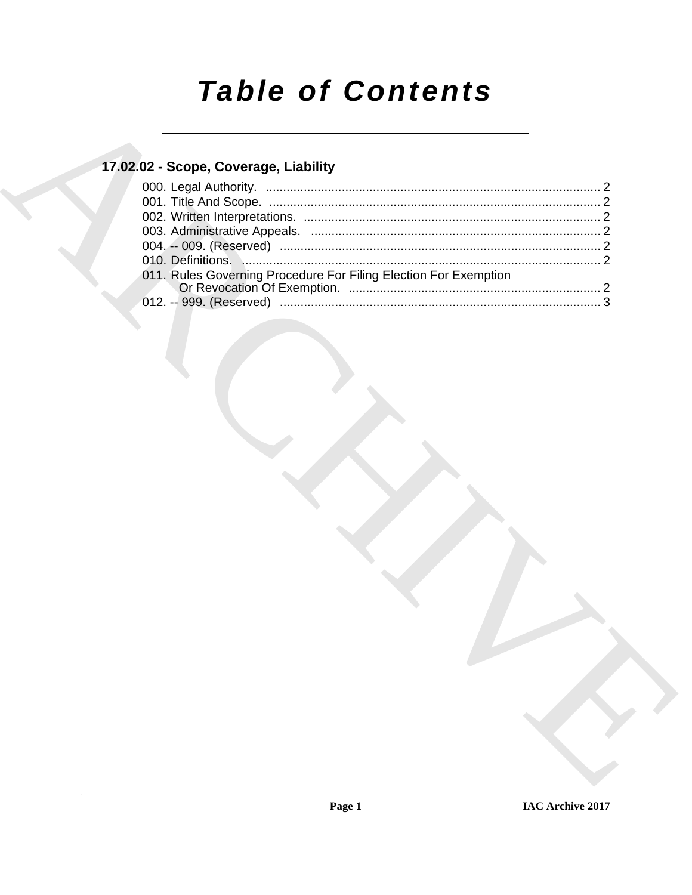# **Table of Contents**

# 17.02.02 - Scope, Coverage, Liability

| 011. Rules Governing Procedure For Filing Election For Exemption |  |
|------------------------------------------------------------------|--|
|                                                                  |  |
|                                                                  |  |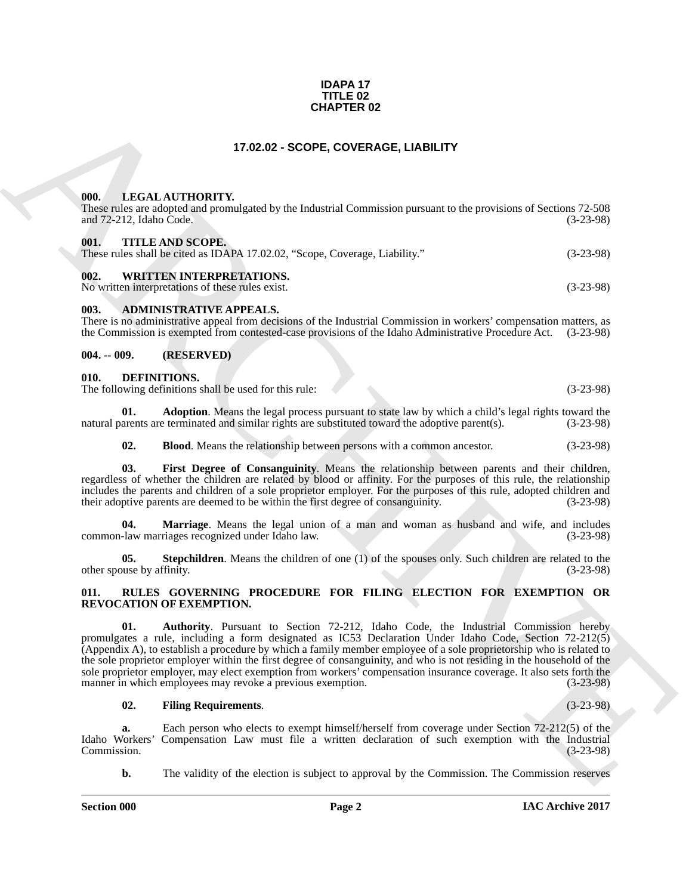#### **IDAPA 17 TITLE 02 CHAPTER 02**

### **17.02.02 - SCOPE, COVERAGE, LIABILITY**

#### <span id="page-1-1"></span><span id="page-1-0"></span>**000. LEGAL AUTHORITY.**

These rules are adopted and promulgated by the Industrial Commission pursuant to the provisions of Sections 72-508 and 72-212, Idaho Code. (3-23-98)

#### <span id="page-1-2"></span>**001. TITLE AND SCOPE.**

|  | These rules shall be cited as IDAPA 17.02.02, "Scope, Coverage, Liability." | $(3-23-98)$ |
|--|-----------------------------------------------------------------------------|-------------|
|  |                                                                             |             |

### <span id="page-1-3"></span>**002. WRITTEN INTERPRETATIONS.**

No written interpretations of these rules exist. (3-23-98)

#### <span id="page-1-4"></span>**003. ADMINISTRATIVE APPEALS.**

There is no administrative appeal from decisions of the Industrial Commission in workers' compensation matters, as the Commission is exempted from contested-case provisions of the Idaho Administrative Procedure Act. (3-23-98)

#### <span id="page-1-5"></span>**004. -- 009. (RESERVED)**

#### <span id="page-1-8"></span><span id="page-1-6"></span>**010. DEFINITIONS.**

The following definitions shall be used for this rule: (3-23-98)

**01. Adoption**. Means the legal process pursuant to state law by which a child's legal rights toward the arents are terminated and similar rights are substituted toward the adoptive parent(s). (3-23-98) natural parents are terminated and similar rights are substituted toward the adoptive parent(s).

<span id="page-1-12"></span><span id="page-1-11"></span><span id="page-1-10"></span><span id="page-1-9"></span>**02. Blood**. Means the relationship between persons with a common ancestor. (3-23-98)

**03. First Degree of Consanguinity**. Means the relationship between parents and their children, regardless of whether the children are related by blood or affinity. For the purposes of this rule, the relationship includes the parents and children of a sole proprietor employer. For the purposes of this rule, adopted children and their adoptive parents are deemed to be within the first degree of consanguinity. (3-23-98) their adoptive parents are deemed to be within the first degree of consanguinity.

**04. Marriage**. Means the legal union of a man and woman as husband and wife, and includes common-law marriages recognized under Idaho law. (3-23-98)

<span id="page-1-13"></span>**05. Stepchildren**. Means the children of one (1) of the spouses only. Such children are related to the ouse by affinity. (3-23-98) other spouse by affinity.

#### <span id="page-1-15"></span><span id="page-1-14"></span><span id="page-1-7"></span>**011. RULES GOVERNING PROCEDURE FOR FILING ELECTION FOR EXEMPTION OR REVOCATION OF EXEMPTION.**

**CHAPTER 02**<br> **CHARCHIVE CONTRACT CONTRACT CONTRACT CONTRACT CONTRACT CONTRACT CONTRACT CONTRACT CONTRACT CONTRACT CONTRACT CONTRACT CONTRACT CONTRACT CONTRACT CONTRACT CONTRACT CONTRACT CONTRACT CONTRACT CONTRACT CONTRAC 01. Authority**. Pursuant to Section 72-212, Idaho Code, the Industrial Commission hereby promulgates a rule, including a form designated as IC53 Declaration Under Idaho Code, Section 72-212(5) (Appendix A), to establish a procedure by which a family member employee of a sole proprietorship who is related to the sole proprietor employer within the first degree of consanguinity, and who is not residing in the household of the sole proprietor employer, may elect exemption from workers' compensation insurance coverage. It also sets forth the manner in which employees may revoke a previous exemption. (3-23-98) manner in which employees may revoke a previous exemption.

#### <span id="page-1-16"></span>**02. Filing Requirements**. (3-23-98)

**a.** Each person who elects to exempt himself/herself from coverage under Section 72-212(5) of the Idustrial Idaho Workers' Compensation Law must file a written declaration of such exemption with the Industrial Compensation Law must file a written declaration of such exemption with the Industrial  $(3-23-98)$ Commission. (3-23-98)

**b.** The validity of the election is subject to approval by the Commission. The Commission reserves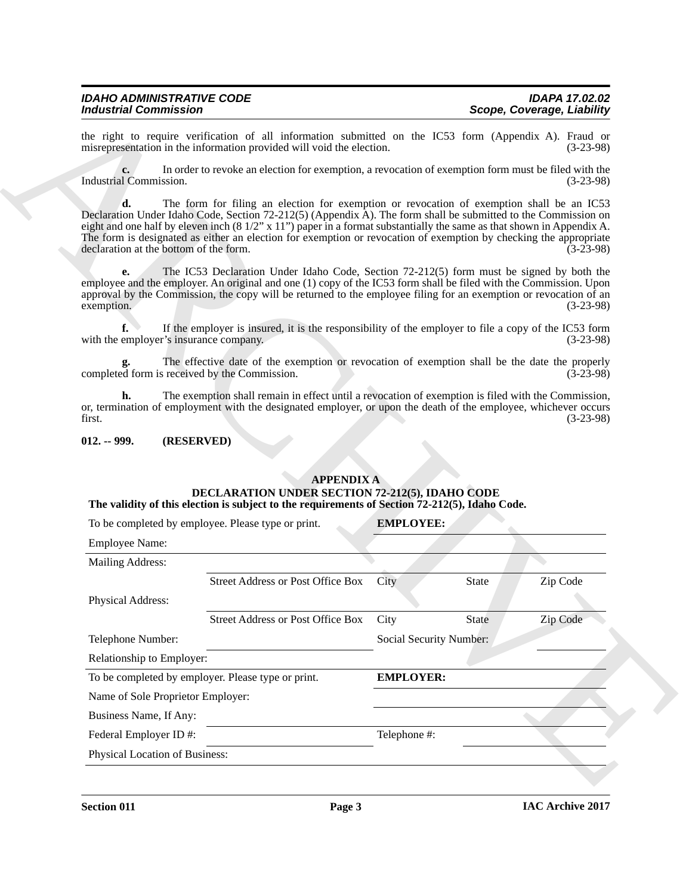#### <span id="page-2-0"></span>**012. -- 999. (RESERVED)**

#### **APPENDIX A DECLARATION UNDER SECTION 72-212(5), IDAHO CODE The validity of this election is subject to the requirements of Section 72-212(5), Idaho Code.**

|                                               | the right to require verification of all information submitted on the IC53 form (Appendix A). Fraud or<br>misrepresentation in the information provided will void the election.                                                                                                                                                                                                                                                                                  |                         |              | $(3-23-98)$ |
|-----------------------------------------------|------------------------------------------------------------------------------------------------------------------------------------------------------------------------------------------------------------------------------------------------------------------------------------------------------------------------------------------------------------------------------------------------------------------------------------------------------------------|-------------------------|--------------|-------------|
| Industrial Commission.                        | In order to revoke an election for exemption, a revocation of exemption form must be filed with the                                                                                                                                                                                                                                                                                                                                                              |                         |              | $(3-23-98)$ |
| d.<br>declaration at the bottom of the form.  | The form for filing an election for exemption or revocation of exemption shall be an IC53<br>Declaration Under Idaho Code, Section 72-212(5) (Appendix A). The form shall be submitted to the Commission on<br>eight and one half by eleven inch $(8\frac{1}{2}x 11)$ paper in a format substantially the same as that shown in Appendix A.<br>The form is designated as either an election for exemption or revocation of exemption by checking the appropriate |                         |              | $(3-23-98)$ |
| e.<br>exemption.                              | The IC53 Declaration Under Idaho Code, Section 72-212(5) form must be signed by both the<br>employee and the employer. An original and one (1) copy of the IC53 form shall be filed with the Commission. Upon<br>approval by the Commission, the copy will be returned to the employee filing for an exemption or revocation of an                                                                                                                               |                         |              | $(3-23-98)$ |
| f.<br>with the employer's insurance company.  | If the employer is insured, it is the responsibility of the employer to file a copy of the IC53 form                                                                                                                                                                                                                                                                                                                                                             |                         |              | $(3-23-98)$ |
| completed form is received by the Commission. | The effective date of the exemption or revocation of exemption shall be the date the properly                                                                                                                                                                                                                                                                                                                                                                    |                         |              | $(3-23-98)$ |
|                                               | The exemption shall remain in effect until a revocation of exemption is filed with the Commission,                                                                                                                                                                                                                                                                                                                                                               |                         |              |             |
| first.                                        | or, termination of employment with the designated employer, or upon the death of the employee, whichever occurs                                                                                                                                                                                                                                                                                                                                                  |                         |              | $(3-23-98)$ |
| $012. - 999.$                                 | (RESERVED)                                                                                                                                                                                                                                                                                                                                                                                                                                                       |                         |              |             |
|                                               | <b>APPENDIX A</b><br>DECLARATION UNDER SECTION 72-212(5), IDAHO CODE<br>The validity of this election is subject to the requirements of Section 72-212(5), Idaho Code.                                                                                                                                                                                                                                                                                           |                         |              |             |
|                                               | To be completed by employee. Please type or print.                                                                                                                                                                                                                                                                                                                                                                                                               | <b>EMPLOYEE:</b>        |              |             |
| <b>Employee Name:</b>                         |                                                                                                                                                                                                                                                                                                                                                                                                                                                                  |                         |              |             |
| <b>Mailing Address:</b>                       |                                                                                                                                                                                                                                                                                                                                                                                                                                                                  |                         |              |             |
|                                               | <b>Street Address or Post Office Box</b>                                                                                                                                                                                                                                                                                                                                                                                                                         | City                    | <b>State</b> | Zip Code    |
| Physical Address:                             |                                                                                                                                                                                                                                                                                                                                                                                                                                                                  |                         |              |             |
|                                               | <b>Street Address or Post Office Box</b>                                                                                                                                                                                                                                                                                                                                                                                                                         | City                    | State        | Zip Code    |
| Telephone Number:                             |                                                                                                                                                                                                                                                                                                                                                                                                                                                                  | Social Security Number: |              |             |
| Relationship to Employer:                     |                                                                                                                                                                                                                                                                                                                                                                                                                                                                  |                         |              |             |
|                                               | To be completed by employer. Please type or print.                                                                                                                                                                                                                                                                                                                                                                                                               | <b>EMPLOYER:</b>        |              |             |
| Name of Sole Proprietor Employer:             |                                                                                                                                                                                                                                                                                                                                                                                                                                                                  |                         |              |             |
| Business Name, If Any:                        |                                                                                                                                                                                                                                                                                                                                                                                                                                                                  |                         |              |             |
| Federal Employer ID#:                         |                                                                                                                                                                                                                                                                                                                                                                                                                                                                  | Telephone #:            |              |             |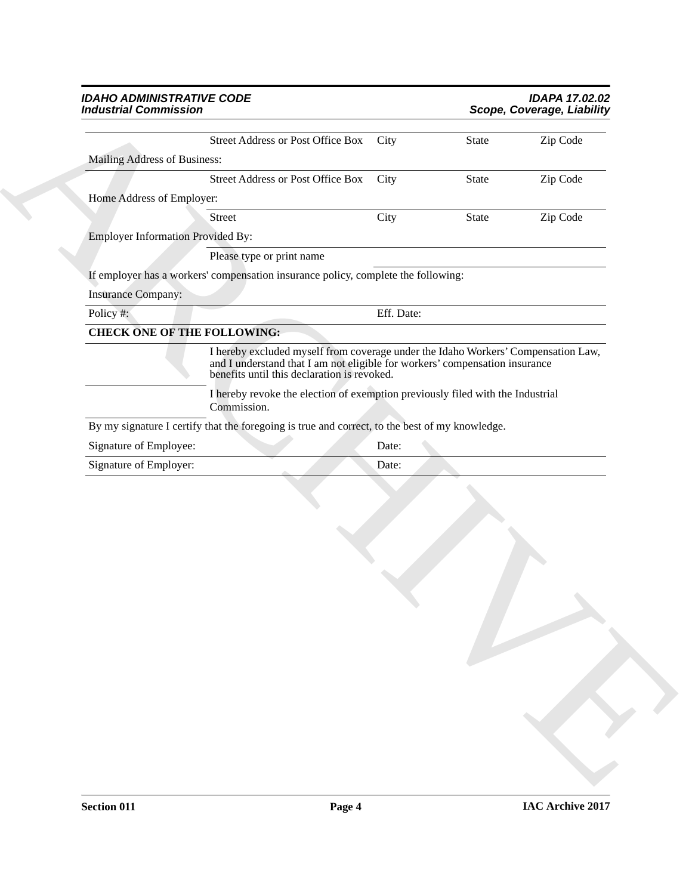#### *IDAHO ADMINISTRATIVE CODE IDAPA 17.02.02 Industrial Commission Scope, Coverage, Liability*

| <b>Industrial Commission</b>             |                                                                                                                                                                                                                 |            | Scope, Coverage, Liability |          |  |
|------------------------------------------|-----------------------------------------------------------------------------------------------------------------------------------------------------------------------------------------------------------------|------------|----------------------------|----------|--|
|                                          | <b>Street Address or Post Office Box</b>                                                                                                                                                                        | City       | State                      | Zip Code |  |
| Mailing Address of Business:             |                                                                                                                                                                                                                 |            |                            |          |  |
|                                          | <b>Street Address or Post Office Box</b>                                                                                                                                                                        | City       | State                      | Zip Code |  |
| Home Address of Employer:                |                                                                                                                                                                                                                 |            |                            |          |  |
|                                          | Street                                                                                                                                                                                                          | City       | State                      | Zip Code |  |
| <b>Employer Information Provided By:</b> |                                                                                                                                                                                                                 |            |                            |          |  |
|                                          | Please type or print name                                                                                                                                                                                       |            |                            |          |  |
|                                          | If employer has a workers' compensation insurance policy, complete the following:                                                                                                                               |            |                            |          |  |
| <b>Insurance Company:</b>                |                                                                                                                                                                                                                 |            |                            |          |  |
| Policy #:                                |                                                                                                                                                                                                                 | Eff. Date: |                            |          |  |
| <b>CHECK ONE OF THE FOLLOWING:</b>       |                                                                                                                                                                                                                 |            |                            |          |  |
|                                          | I hereby excluded myself from coverage under the Idaho Workers' Compensation Law,<br>and I understand that I am not eligible for workers' compensation insurance<br>benefits until this declaration is revoked. |            |                            |          |  |
|                                          | I hereby revoke the election of exemption previously filed with the Industrial<br>Commission.                                                                                                                   |            |                            |          |  |
|                                          | By my signature I certify that the foregoing is true and correct, to the best of my knowledge.                                                                                                                  |            |                            |          |  |
| Signature of Employee:                   |                                                                                                                                                                                                                 | Date:      |                            |          |  |
|                                          |                                                                                                                                                                                                                 | Date:      |                            |          |  |
| Signature of Employer:                   |                                                                                                                                                                                                                 |            |                            |          |  |
|                                          |                                                                                                                                                                                                                 |            |                            |          |  |